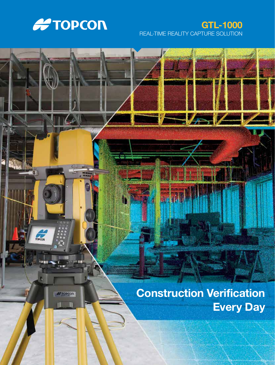

### REAL-TIME REALITY CAPTURE SOLUTION GTL-1000

**THE AB** 

**A TOPCON** 

**CONCOR** 

# Construction Verification Every Day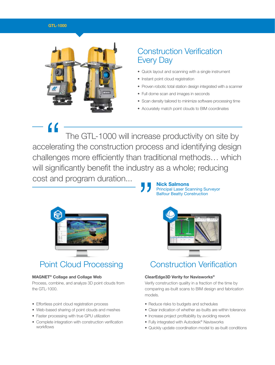#### GTL-1000



## Construction Verification Every Day

- Quick layout and scanning with a single instrument
- Instant point cloud registration
- Proven robotic total station design integrated with a scanner
- Full dome scan and images in seconds
- Scan density tailored to minimize software processing time
- Accurately match point clouds to BIM coordinates

 The GTL-1000 will increase productivity on site by accelerating the construction process and identifying design challenges more efficiently than traditional methods… which will significantly benefit the industry as a whole; reducing cost and program duration... " **"** 



### MAGNET® Collage and Collage Web

Process, combine, and analyze 3D point clouds from the GTL-1000.

- Effortless point cloud registration process
- Web-based sharing of point clouds and meshes
- Faster processing with true GPU utilization
- Complete integration with construction verification workflows

### Principal Laser Scanning Surveyor Balfour Beatty Construction



## Point Cloud Processing Construction Verification

### ClearEdge3D Verity for Navisworks®

Verify construction quality in a fraction of the time by comparing as-built scans to BIM design and fabrication models.

- Reduce risks to budgets and schedules
- Clear indication of whether as-builts are within tolerance
- Increase project profitability by avoiding rework
- Fully integrated with Autodesk® Navisworks
- Quickly update coordination model to as-built conditions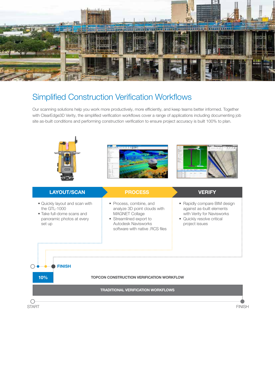

### Simplified Construction Verification Workflows

Our scanning solutions help you work more productively, more efficiently, and keep teams better informed. Together with ClearEdge3D Verity, the simplified verification workflows cover a range of applications including documenting job site as-built conditions and performing construction verification to ensure project accuracy is built 100% to plan.



### LAYOUT/SCAN

- 
- Quickly layout and scan with the GTL-1000
- Take full-dome scans and panoramic photos at every set up

FINISH

10%

 $\bigcap$ 

 $\bigcirc$ 

- Process, combine, and analyze 3D point clouds with MAGNET Collage
- Streamlined export to Autodesk Navisworks software with native .RCS files

- Rapidly compare BIM design against as-built elements with Verity for Navisworks
- Quickly resolve critical project issues

#### TOPCON CONSTRUCTION VERIFICATION WORKFLOW

TRADITIONAL VERIFICATION WORKFLOWS

START FINISH AND THE START START START START START START START START START START START START START START START